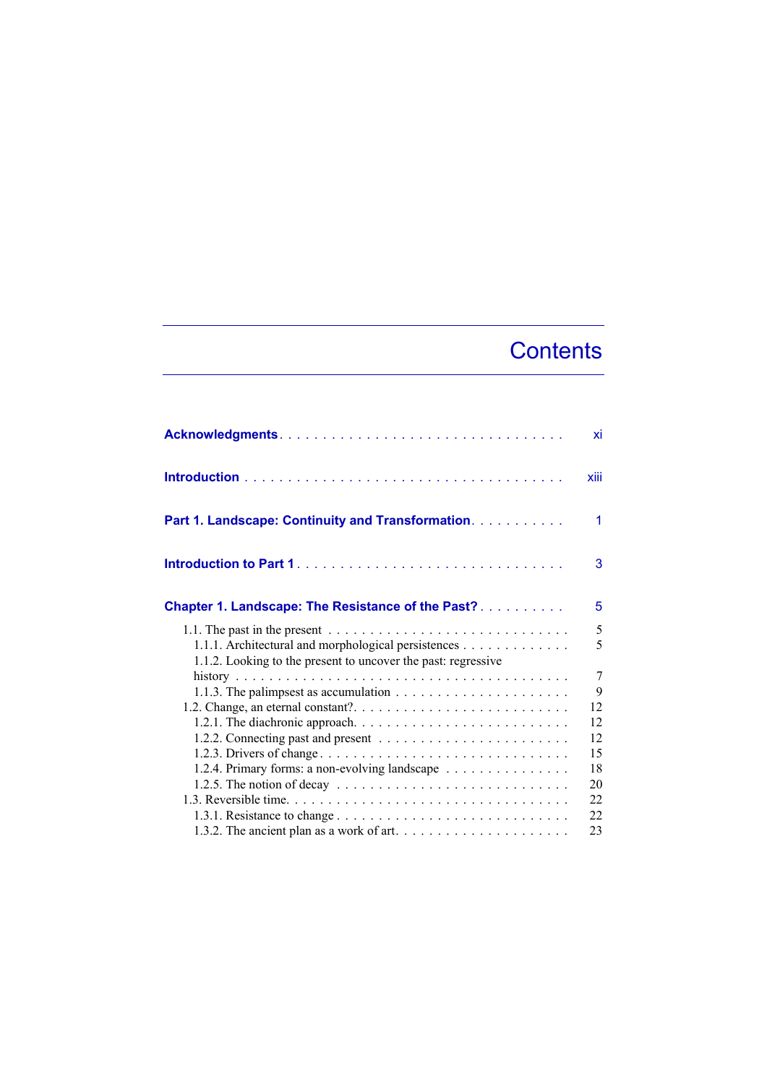## **Contents**

|                                                                                                                                                                                                                              | xi     |
|------------------------------------------------------------------------------------------------------------------------------------------------------------------------------------------------------------------------------|--------|
|                                                                                                                                                                                                                              | xiii   |
| Part 1. Landscape: Continuity and Transformation.                                                                                                                                                                            | 1      |
|                                                                                                                                                                                                                              | 3      |
| <b>Chapter 1. Landscape: The Resistance of the Past?</b>                                                                                                                                                                     | 5      |
| 1.1. The past in the present $\ldots \ldots \ldots \ldots \ldots \ldots \ldots \ldots \ldots \ldots$<br>1.1.1. Architectural and morphological persistences<br>1.1.2. Looking to the present to uncover the past: regressive | 5<br>5 |
|                                                                                                                                                                                                                              | 7      |
| 1.1.3. The palimpsest as accumulation $\ldots \ldots \ldots \ldots \ldots \ldots \ldots$                                                                                                                                     | 9      |
|                                                                                                                                                                                                                              | 12     |
|                                                                                                                                                                                                                              | 12     |
|                                                                                                                                                                                                                              | 12     |
| 1.2.3. Drivers of change                                                                                                                                                                                                     | 15     |
| 1.2.4. Primary forms: a non-evolving landscape                                                                                                                                                                               | 18     |
| 1.2.5. The notion of decay $\ldots \ldots \ldots \ldots \ldots \ldots \ldots \ldots \ldots$                                                                                                                                  | 20     |
|                                                                                                                                                                                                                              | 22     |
|                                                                                                                                                                                                                              | 22     |
|                                                                                                                                                                                                                              | 23     |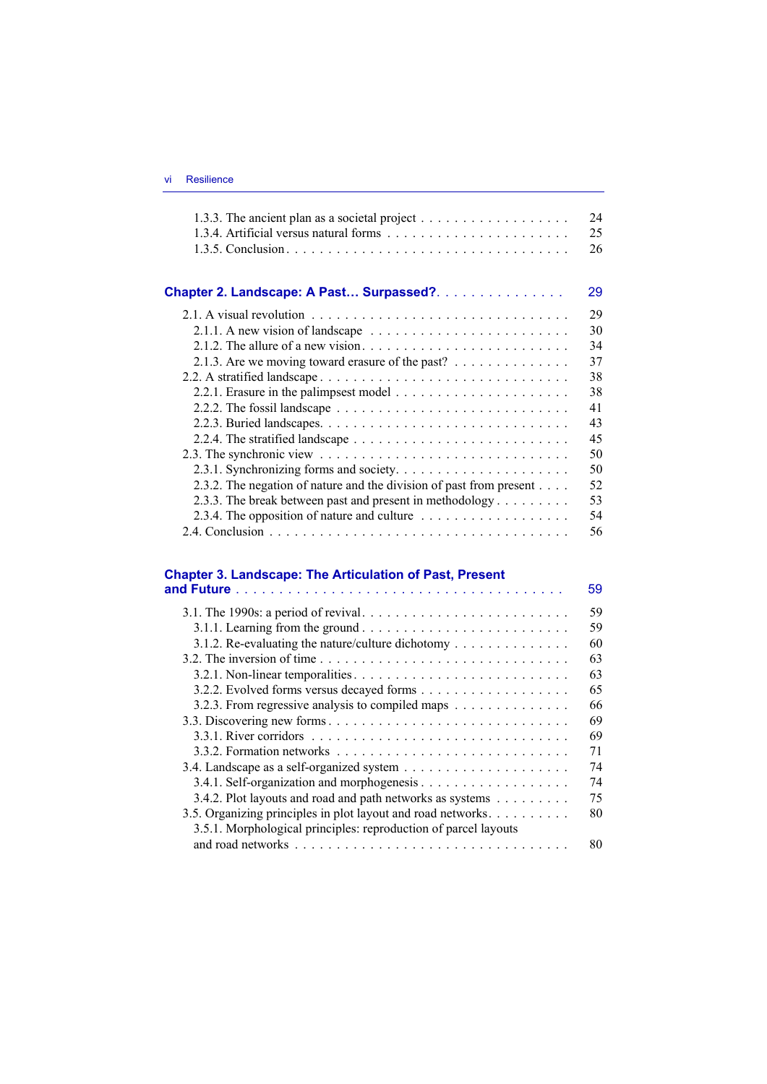|                                                                                              | 24<br>25 |
|----------------------------------------------------------------------------------------------|----------|
|                                                                                              | 26       |
| Chapter 2. Landscape: A Past Surpassed?.                                                     | 29       |
|                                                                                              | 29       |
|                                                                                              | 30       |
| 2.1.2. The allure of a new vision. $\ldots \ldots \ldots \ldots \ldots \ldots \ldots \ldots$ | 34       |
| 2.1.3. Are we moving toward erasure of the past?                                             | 37       |
|                                                                                              | 38       |
|                                                                                              | 38       |
| 2.2.2. The fossil landscape $\ldots \ldots \ldots \ldots \ldots \ldots \ldots \ldots \ldots$ | 41       |
|                                                                                              | 43       |
|                                                                                              | 45       |
|                                                                                              | 50       |
|                                                                                              | 50       |
| 2.3.2. The negation of nature and the division of past from present                          | 52       |
| 2.3.3. The break between past and present in methodology $\dots \dots$                       | 53       |
|                                                                                              | 54       |
|                                                                                              | 56       |

## **Chapter 3. Landscape: The Articulation of Past, Present**

|                                                                                                  | 59 |
|--------------------------------------------------------------------------------------------------|----|
|                                                                                                  | 59 |
|                                                                                                  | 59 |
| 3.1.2. Re-evaluating the nature/culture dichotomy                                                | 60 |
|                                                                                                  | 63 |
|                                                                                                  | 63 |
|                                                                                                  | 65 |
| 3.2.3. From regressive analysis to compiled maps                                                 | 66 |
|                                                                                                  | 69 |
| 3.3.1. River corridors $\dots \dots \dots \dots \dots \dots \dots \dots \dots \dots \dots \dots$ | 69 |
|                                                                                                  | 71 |
|                                                                                                  | 74 |
|                                                                                                  | 74 |
| 3.4.2. Plot layouts and road and path networks as systems                                        | 75 |
| 3.5. Organizing principles in plot layout and road networks                                      | 80 |
| 3.5.1. Morphological principles: reproduction of parcel layouts                                  |    |
|                                                                                                  | 80 |
|                                                                                                  |    |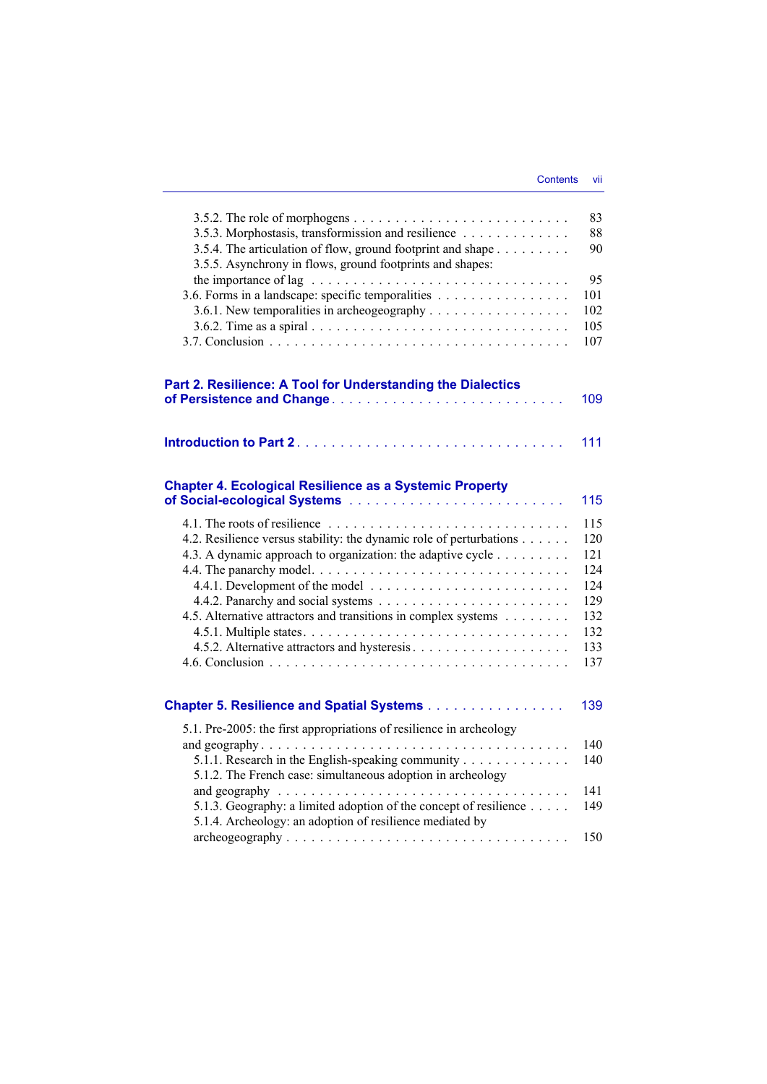| 3.5.3. Morphostasis, transformission and resilience<br>3.5.4. The articulation of flow, ground footprint and shape<br>3.5.5. Asynchrony in flows, ground footprints and shapes:                                                                                                                                                    | 83<br>88<br>90                                                     |
|------------------------------------------------------------------------------------------------------------------------------------------------------------------------------------------------------------------------------------------------------------------------------------------------------------------------------------|--------------------------------------------------------------------|
| 3.6. Forms in a landscape: specific temporalities<br>3.6.1. New temporalities in archeogeography $\dots \dots \dots \dots \dots \dots$                                                                                                                                                                                             | 95<br>101<br>102<br>105<br>107                                     |
| Part 2. Resilience: A Tool for Understanding the Dialectics                                                                                                                                                                                                                                                                        | 109                                                                |
|                                                                                                                                                                                                                                                                                                                                    | 111                                                                |
| <b>Chapter 4. Ecological Resilience as a Systemic Property</b>                                                                                                                                                                                                                                                                     | 115                                                                |
| 4.2. Resilience versus stability: the dynamic role of perturbations<br>4.3. A dynamic approach to organization: the adaptive cycle<br>4.5. Alternative attractors and transitions in complex systems                                                                                                                               | 115<br>120<br>121<br>124<br>124<br>129<br>132<br>132<br>133<br>137 |
| <b>Chapter 5. Resilience and Spatial Systems</b>                                                                                                                                                                                                                                                                                   | 139                                                                |
| 5.1. Pre-2005: the first appropriations of resilience in archeology<br>5.1.1. Research in the English-speaking community<br>5.1.2. The French case: simultaneous adoption in archeology<br>5.1.3. Geography: a limited adoption of the concept of resilience $\dots$ .<br>5.1.4. Archeology: an adoption of resilience mediated by | 140<br>140<br>141<br>149<br>150                                    |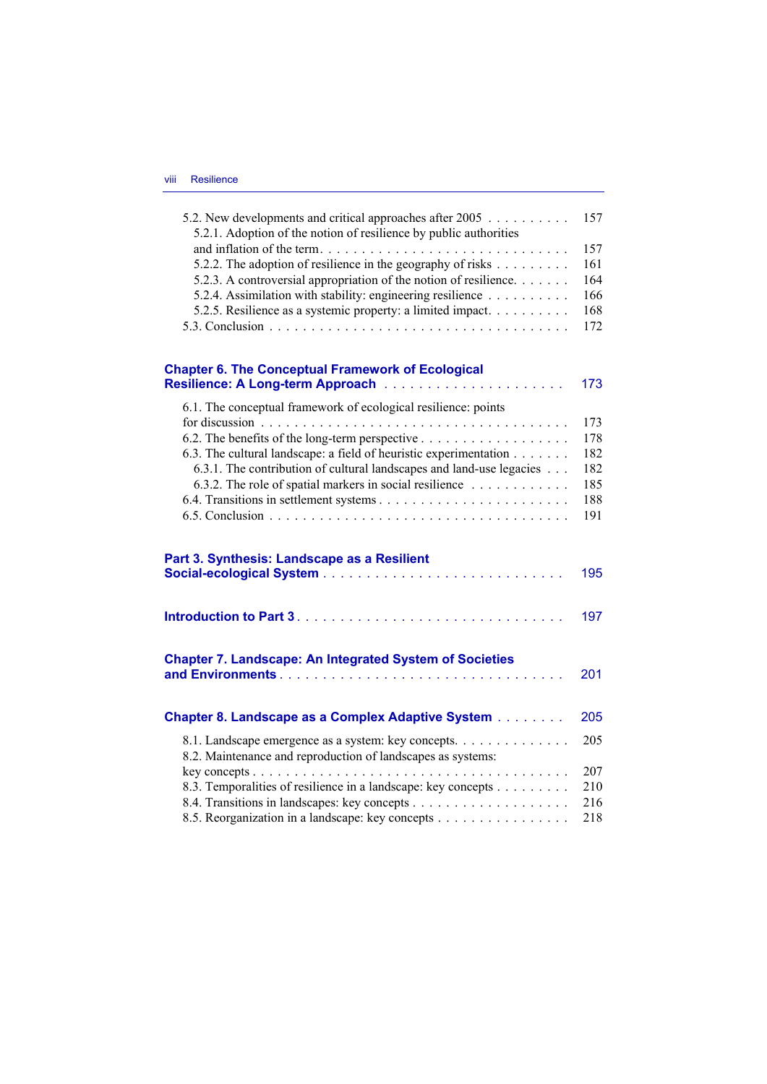| 5.2.1. Adoption of the notion of resilience by public authorities                                                  | 157 |
|--------------------------------------------------------------------------------------------------------------------|-----|
|                                                                                                                    | 157 |
| 5.2.2. The adoption of resilience in the geography of risks                                                        | 161 |
| 5.2.3. A controversial appropriation of the notion of resilience.                                                  | 164 |
| 5.2.4. Assimilation with stability: engineering resilience                                                         | 166 |
| 5.2.5. Resilience as a systemic property: a limited impact.                                                        | 168 |
|                                                                                                                    | 172 |
|                                                                                                                    |     |
| <b>Chapter 6. The Conceptual Framework of Ecological</b>                                                           |     |
|                                                                                                                    | 173 |
| 6.1. The conceptual framework of ecological resilience: points                                                     |     |
|                                                                                                                    | 173 |
|                                                                                                                    | 178 |
| 6.3. The cultural landscape: a field of heuristic experimentation                                                  | 182 |
| 6.3.1. The contribution of cultural landscapes and land-use legacies                                               | 182 |
| 6.3.2. The role of spatial markers in social resilience                                                            | 185 |
|                                                                                                                    | 188 |
|                                                                                                                    | 191 |
| Part 3. Synthesis: Landscape as a Resilient                                                                        |     |
|                                                                                                                    | 195 |
|                                                                                                                    | 197 |
| <b>Chapter 7. Landscape: An Integrated System of Societies</b>                                                     |     |
|                                                                                                                    | 201 |
| <b>Chapter 8. Landscape as a Complex Adaptive System</b>                                                           | 205 |
|                                                                                                                    |     |
| 8.1. Landscape emergence as a system: key concepts.<br>8.2. Maintenance and reproduction of landscapes as systems: | 205 |
|                                                                                                                    | 207 |
| 8.3. Temporalities of resilience in a landscape: key concepts                                                      | 210 |
| 8.5. Reorganization in a landscape: key concepts                                                                   | 216 |